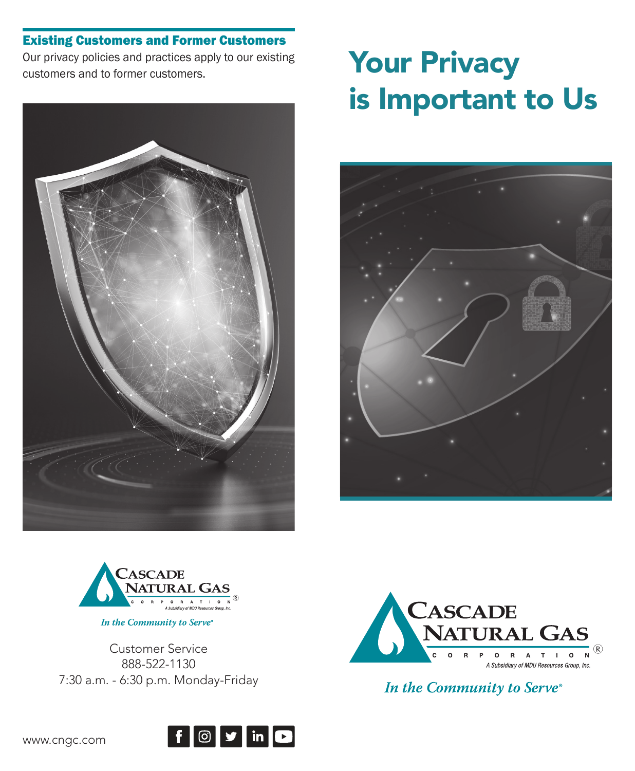## Existing Customers and Former Customers

Our privacy policies and practices apply to our existing customers and to former customers.



# **Your Privacy** is Important to Us





In the Community to Serve®

Customer Service 888-522-1130 7:30 a.m. - 6:30 p.m. Monday-Friday



In the Community to Serve®